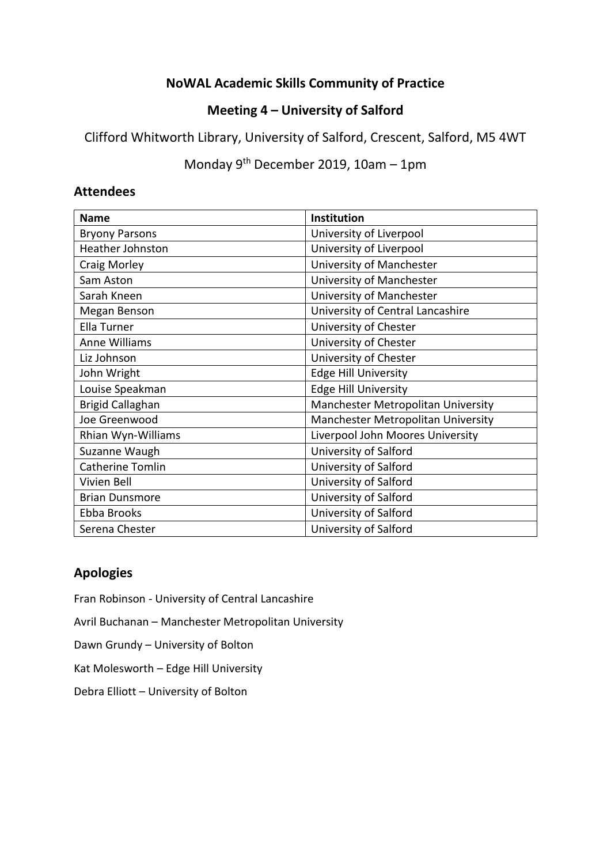# **NoWAL Academic Skills Community of Practice**

# **Meeting 4 – University of Salford**

Clifford Whitworth Library, University of Salford, Crescent, Salford, M5 4WT

Monday 9th December 2019, 10am – 1pm

### **Attendees**

| <b>Name</b>             | <b>Institution</b>                 |
|-------------------------|------------------------------------|
| <b>Bryony Parsons</b>   | University of Liverpool            |
| <b>Heather Johnston</b> | University of Liverpool            |
| Craig Morley            | University of Manchester           |
| Sam Aston               | University of Manchester           |
| Sarah Kneen             | University of Manchester           |
| Megan Benson            | University of Central Lancashire   |
| Ella Turner             | University of Chester              |
| <b>Anne Williams</b>    | University of Chester              |
| Liz Johnson             | University of Chester              |
| John Wright             | <b>Edge Hill University</b>        |
| Louise Speakman         | <b>Edge Hill University</b>        |
| <b>Brigid Callaghan</b> | Manchester Metropolitan University |
| Joe Greenwood           | Manchester Metropolitan University |
| Rhian Wyn-Williams      | Liverpool John Moores University   |
| Suzanne Waugh           | University of Salford              |
| <b>Catherine Tomlin</b> | University of Salford              |
| Vivien Bell             | University of Salford              |
| <b>Brian Dunsmore</b>   | University of Salford              |
| Ebba Brooks             | University of Salford              |
| Serena Chester          | University of Salford              |

## **Apologies**

Fran Robinson - University of Central Lancashire

Avril Buchanan – Manchester Metropolitan University

Dawn Grundy – University of Bolton

Kat Molesworth – Edge Hill University

Debra Elliott – University of Bolton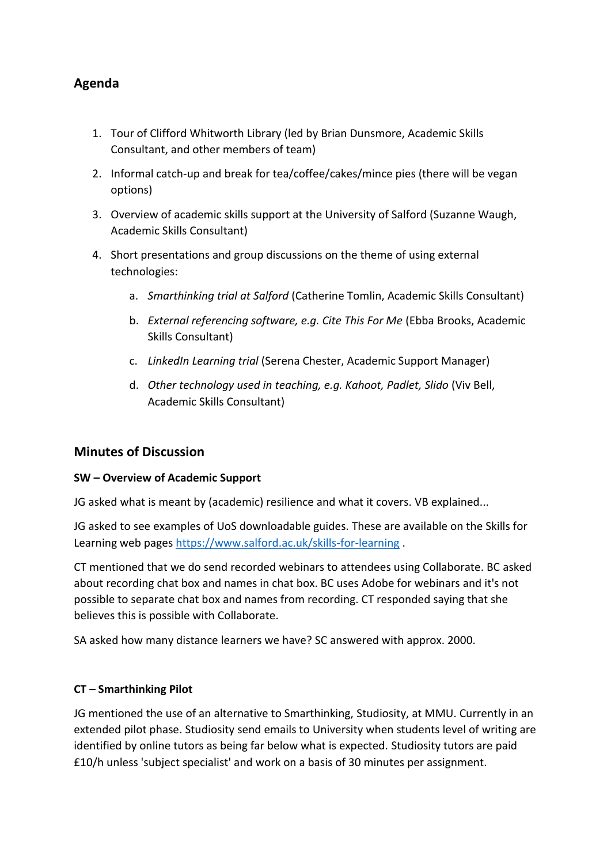# **Agenda**

- 1. Tour of Clifford Whitworth Library (led by Brian Dunsmore, Academic Skills Consultant, and other members of team)
- 2. Informal catch-up and break for tea/coffee/cakes/mince pies (there will be vegan options)
- 3. Overview of academic skills support at the University of Salford (Suzanne Waugh, Academic Skills Consultant)
- 4. Short presentations and group discussions on the theme of using external technologies:
	- a. *Smarthinking trial at Salford* (Catherine Tomlin, Academic Skills Consultant)
	- b. *External referencing software, e.g. Cite This For Me* (Ebba Brooks, Academic Skills Consultant)
	- c. *LinkedIn Learning trial* (Serena Chester, Academic Support Manager)
	- d. *Other technology used in teaching, e.g. Kahoot, Padlet, Slido* (Viv Bell, Academic Skills Consultant)

## **Minutes of Discussion**

#### **SW – Overview of Academic Support**

JG asked what is meant by (academic) resilience and what it covers. VB explained...

JG asked to see examples of UoS downloadable guides. These are available on the Skills for Learning web pages<https://www.salford.ac.uk/skills-for-learning>.

CT mentioned that we do send recorded webinars to attendees using Collaborate. BC asked about recording chat box and names in chat box. BC uses Adobe for webinars and it's not possible to separate chat box and names from recording. CT responded saying that she believes this is possible with Collaborate.

SA asked how many distance learners we have? SC answered with approx. 2000.

#### **CT – Smarthinking Pilot**

JG mentioned the use of an alternative to Smarthinking, Studiosity, at MMU. Currently in an extended pilot phase. Studiosity send emails to University when students level of writing are identified by online tutors as being far below what is expected. Studiosity tutors are paid £10/h unless 'subject specialist' and work on a basis of 30 minutes per assignment.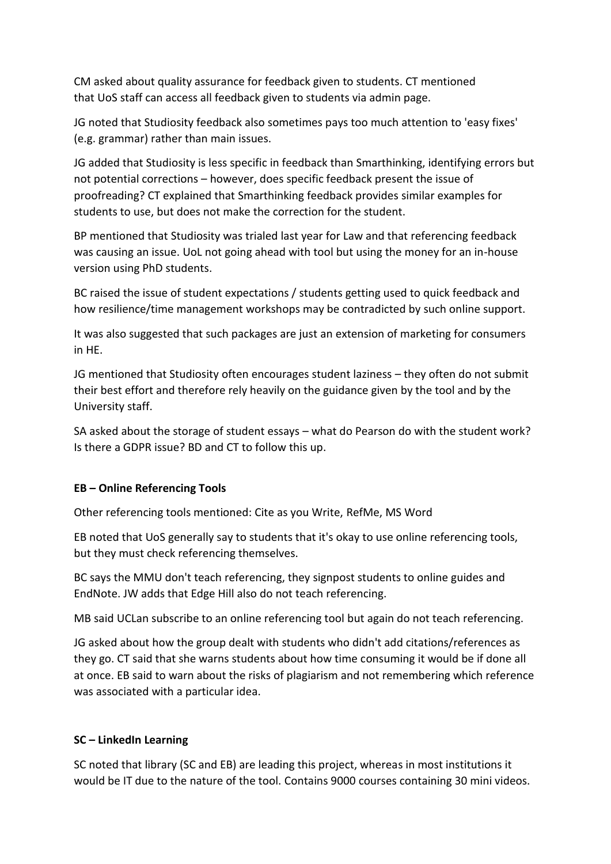CM asked about quality assurance for feedback given to students. CT mentioned that UoS staff can access all feedback given to students via admin page.

JG noted that Studiosity feedback also sometimes pays too much attention to 'easy fixes' (e.g. grammar) rather than main issues.

JG added that Studiosity is less specific in feedback than Smarthinking, identifying errors but not potential corrections – however, does specific feedback present the issue of proofreading? CT explained that Smarthinking feedback provides similar examples for students to use, but does not make the correction for the student.

BP mentioned that Studiosity was trialed last year for Law and that referencing feedback was causing an issue. UoL not going ahead with tool but using the money for an in-house version using PhD students.

BC raised the issue of student expectations / students getting used to quick feedback and how resilience/time management workshops may be contradicted by such online support.

It was also suggested that such packages are just an extension of marketing for consumers in HE.

JG mentioned that Studiosity often encourages student laziness – they often do not submit their best effort and therefore rely heavily on the guidance given by the tool and by the University staff.

SA asked about the storage of student essays – what do Pearson do with the student work? Is there a GDPR issue? BD and CT to follow this up.

#### **EB – Online Referencing Tools**

Other referencing tools mentioned: Cite as you Write, RefMe, MS Word

EB noted that UoS generally say to students that it's okay to use online referencing tools, but they must check referencing themselves.

BC says the MMU don't teach referencing, they signpost students to online guides and EndNote. JW adds that Edge Hill also do not teach referencing.

MB said UCLan subscribe to an online referencing tool but again do not teach referencing.

JG asked about how the group dealt with students who didn't add citations/references as they go. CT said that she warns students about how time consuming it would be if done all at once. EB said to warn about the risks of plagiarism and not remembering which reference was associated with a particular idea.

#### **SC – LinkedIn Learning**

SC noted that library (SC and EB) are leading this project, whereas in most institutions it would be IT due to the nature of the tool. Contains 9000 courses containing 30 mini videos.